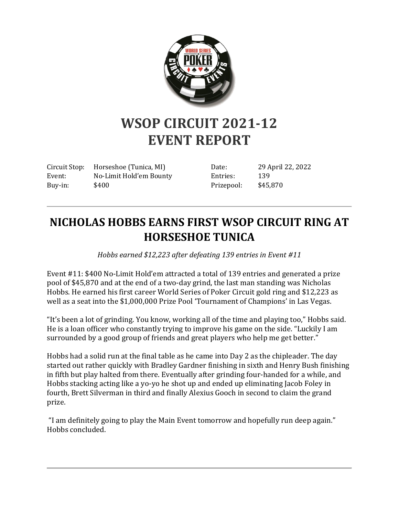

## **WSOP CIRCUIT 2021-12 EVENT REPORT**

Circuit Stop: Horseshoe (Tunica, MI) Event: No-Limit Hold'em Bounty Buy-in: \$400

Date: 29 April 22, 2022 Entries: 139 Prizepool: \$45,870

## **NICHOLAS HOBBS EARNS FIRST WSOP CIRCUIT RING AT HORSESHOE TUNICA**

*Hobbs earned \$12,223 after defeating 139 entries in Event #11*

Event #11: \$400 No-Limit Hold'em attracted a total of 139 entries and generated a prize pool of \$45,870 and at the end of a two-day grind, the last man standing was Nicholas Hobbs. He earned his first career World Series of Poker Circuit gold ring and \$12,223 as well as a seat into the \$1,000,000 Prize Pool 'Tournament of Champions' in Las Vegas.

"It's been a lot of grinding. You know, working all of the time and playing too," Hobbs said. He is a loan officer who constantly trying to improve his game on the side. "Luckily I am surrounded by a good group of friends and great players who help me get better."

Hobbs had a solid run at the final table as he came into Day 2 as the chipleader. The day started out rather quickly with Bradley Gardner finishing in sixth and Henry Bush finishing in fifth but play halted from there. Eventually after grinding four-handed for a while, and Hobbs stacking acting like a yo-yo he shot up and ended up eliminating Jacob Foley in fourth, Brett Silverman in third and finally Alexius Gooch in second to claim the grand prize.

"I am definitely going to play the Main Event tomorrow and hopefully run deep again." Hobbs concluded.